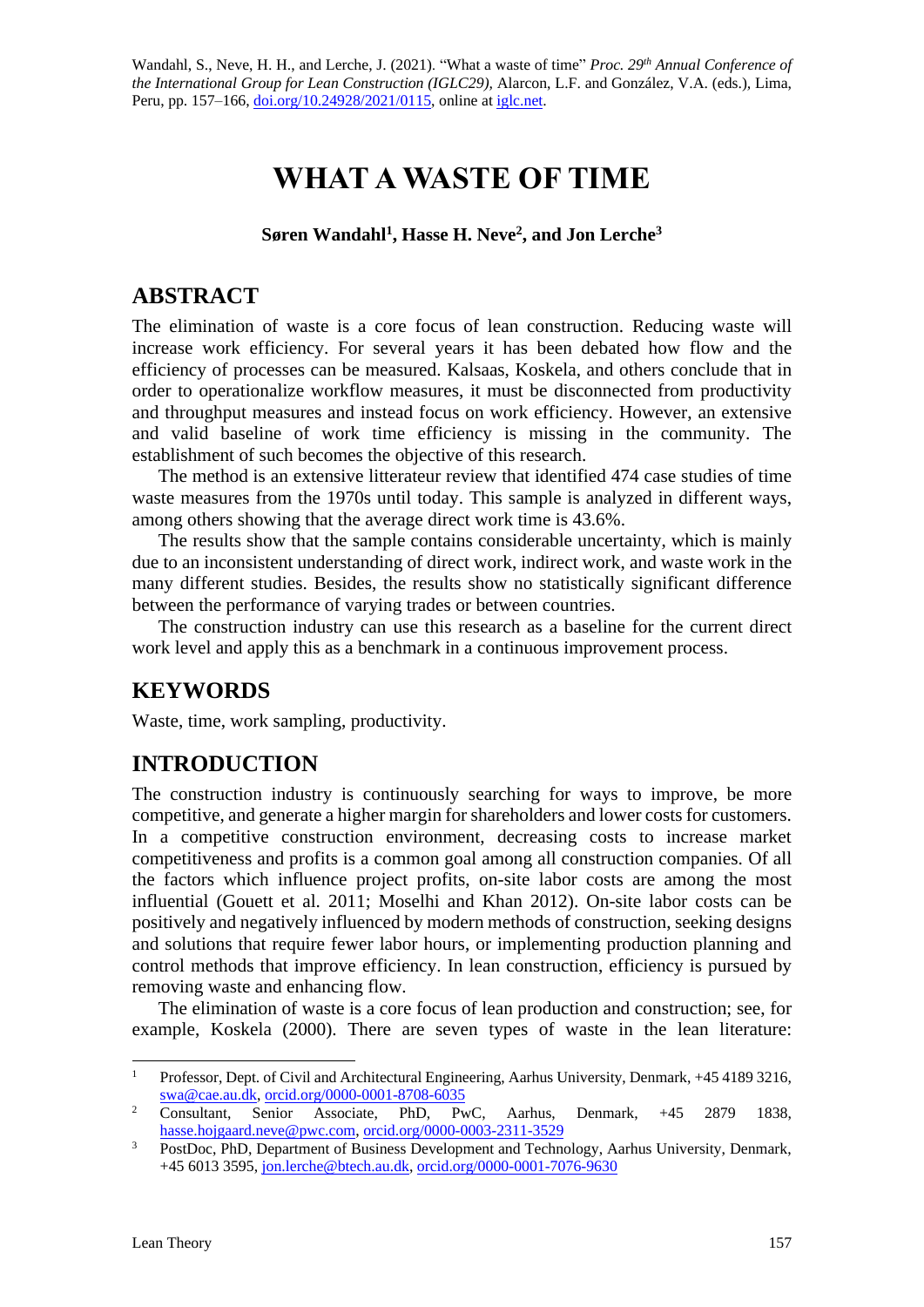Wandahl, S., Neve, H. H., and Lerche, J. (2021). "What a waste of time" *Proc. 29*<sup>th</sup> Annual Conference of *the International Group for Lean Construction (IGLC29),* Alarcon, L.F. and González, V.A. (eds.)*,* Lima, Peru, pp. 157–166, [doi.org/10.24928/2021/0115,](https://doi.org/10.24928/2021/0115) online at [iglc.net.](http://iglc.net/)

# **WHAT A WASTE OF TIME**

#### **Søren Wandahl<sup>1</sup> , Hasse H. Neve<sup>2</sup> , and Jon Lerche<sup>3</sup>**

### **ABSTRACT**

The elimination of waste is a core focus of lean construction. Reducing waste will increase work efficiency. For several years it has been debated how flow and the efficiency of processes can be measured. Kalsaas, Koskela, and others conclude that in order to operationalize workflow measures, it must be disconnected from productivity and throughput measures and instead focus on work efficiency. However, an extensive and valid baseline of work time efficiency is missing in the community. The establishment of such becomes the objective of this research.

The method is an extensive litterateur review that identified 474 case studies of time waste measures from the 1970s until today. This sample is analyzed in different ways, among others showing that the average direct work time is 43.6%.

The results show that the sample contains considerable uncertainty, which is mainly due to an inconsistent understanding of direct work, indirect work, and waste work in the many different studies. Besides, the results show no statistically significant difference between the performance of varying trades or between countries.

The construction industry can use this research as a baseline for the current direct work level and apply this as a benchmark in a continuous improvement process.

# **KEYWORDS**

Waste, time, work sampling, productivity.

# **INTRODUCTION**

The construction industry is continuously searching for ways to improve, be more competitive, and generate a higher margin for shareholders and lower costs for customers. In a competitive construction environment, decreasing costs to increase market competitiveness and profits is a common goal among all construction companies. Of all the factors which influence project profits, on-site labor costs are among the most influential (Gouett et al. 2011; Moselhi and Khan 2012). On-site labor costs can be positively and negatively influenced by modern methods of construction, seeking designs and solutions that require fewer labor hours, or implementing production planning and control methods that improve efficiency. In lean construction, efficiency is pursued by removing waste and enhancing flow.

The elimination of waste is a core focus of lean production and construction; see, for example, Koskela (2000). There are seven types of waste in the lean literature:

<sup>&</sup>lt;sup>1</sup> Professor, Dept. of Civil and Architectural Engineering, Aarhus University, Denmark, +45 4189 3216, [swa@cae.au.dk,](mailto:swa@cae.au.dk) [orcid.org/0000-0001-8708-6035](https://orcid.org/0000-0001-8708-6035)<br>Consultant, Senior Associate, PhD, Pv

<sup>&</sup>lt;sup>2</sup> Consultant, Senior Associate, PhD, PwC, Aarhus, Denmark, +45 2879 1838, [hasse.hojgaard.neve@pwc.com,](mailto:hasse.hojgaard.neve@pwc.com) [orcid.org/0000-0003-2311-3529](https://orcid.org/0000-0003-2311-3529)

<sup>&</sup>lt;sup>3</sup> PostDoc, PhD, Department of Business Development and Technology, Aarhus University, Denmark, +45 6013 3595, [jon.lerche@btech.au.dk,](mailto:jon.lerche@btech.au.dk) [orcid.org/0000-0001-7076-9630](https://orcid.org/0000-0001-7076-9630)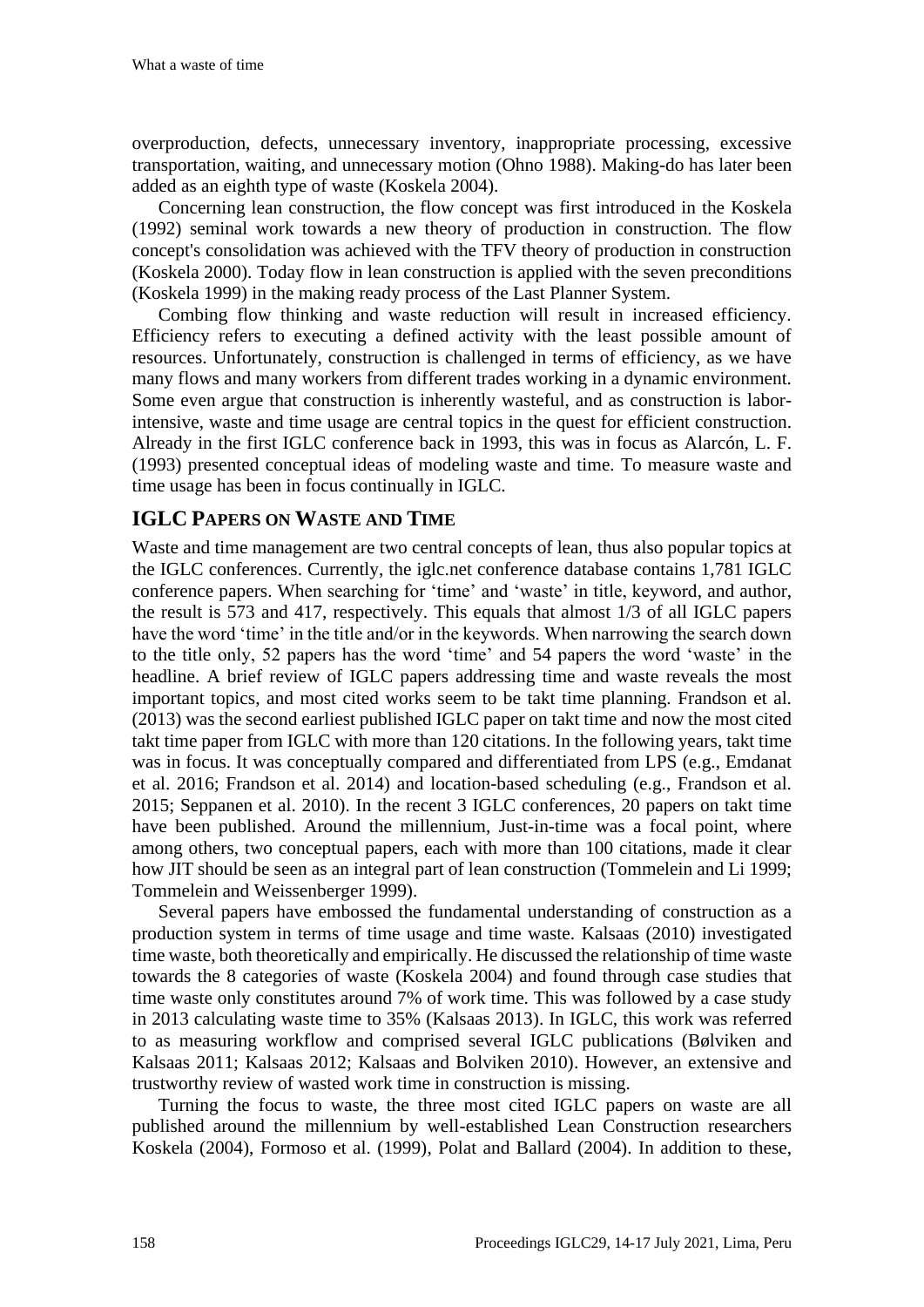overproduction, defects, unnecessary inventory, inappropriate processing, excessive transportation, waiting, and unnecessary motion (Ohno 1988). Making-do has later been added as an eighth type of waste (Koskela 2004).

Concerning lean construction, the flow concept was first introduced in the Koskela (1992) seminal work towards a new theory of production in construction. The flow concept's consolidation was achieved with the TFV theory of production in construction (Koskela 2000). Today flow in lean construction is applied with the seven preconditions (Koskela 1999) in the making ready process of the Last Planner System.

Combing flow thinking and waste reduction will result in increased efficiency. Efficiency refers to executing a defined activity with the least possible amount of resources. Unfortunately, construction is challenged in terms of efficiency, as we have many flows and many workers from different trades working in a dynamic environment. Some even argue that construction is inherently wasteful, and as construction is laborintensive, waste and time usage are central topics in the quest for efficient construction. Already in the first IGLC conference back in 1993, this was in focus as Alarcón, L. F. (1993) presented conceptual ideas of modeling waste and time. To measure waste and time usage has been in focus continually in IGLC.

#### **IGLC PAPERS ON WASTE AND TIME**

Waste and time management are two central concepts of lean, thus also popular topics at the IGLC conferences. Currently, the iglc.net conference database contains 1,781 IGLC conference papers. When searching for 'time' and 'waste' in title, keyword, and author, the result is 573 and 417, respectively. This equals that almost 1/3 of all IGLC papers have the word 'time' in the title and/or in the keywords. When narrowing the search down to the title only, 52 papers has the word 'time' and 54 papers the word 'waste' in the headline. A brief review of IGLC papers addressing time and waste reveals the most important topics, and most cited works seem to be takt time planning. Frandson et al. (2013) was the second earliest published IGLC paper on takt time and now the most cited takt time paper from IGLC with more than 120 citations. In the following years, takt time was in focus. It was conceptually compared and differentiated from LPS (e.g., Emdanat et al. 2016; Frandson et al. 2014) and location-based scheduling (e.g., Frandson et al. 2015; Seppanen et al. 2010). In the recent 3 IGLC conferences, 20 papers on takt time have been published. Around the millennium, Just-in-time was a focal point, where among others, two conceptual papers, each with more than 100 citations, made it clear how JIT should be seen as an integral part of lean construction (Tommelein and Li 1999; Tommelein and Weissenberger 1999).

Several papers have embossed the fundamental understanding of construction as a production system in terms of time usage and time waste. Kalsaas (2010) investigated time waste, both theoretically and empirically. He discussed the relationship of time waste towards the 8 categories of waste (Koskela 2004) and found through case studies that time waste only constitutes around 7% of work time. This was followed by a case study in 2013 calculating waste time to 35% (Kalsaas 2013). In IGLC, this work was referred to as measuring workflow and comprised several IGLC publications (Bølviken and Kalsaas 2011; Kalsaas 2012; Kalsaas and Bolviken 2010). However, an extensive and trustworthy review of wasted work time in construction is missing.

Turning the focus to waste, the three most cited IGLC papers on waste are all published around the millennium by well-established Lean Construction researchers Koskela (2004), Formoso et al. (1999), Polat and Ballard (2004). In addition to these,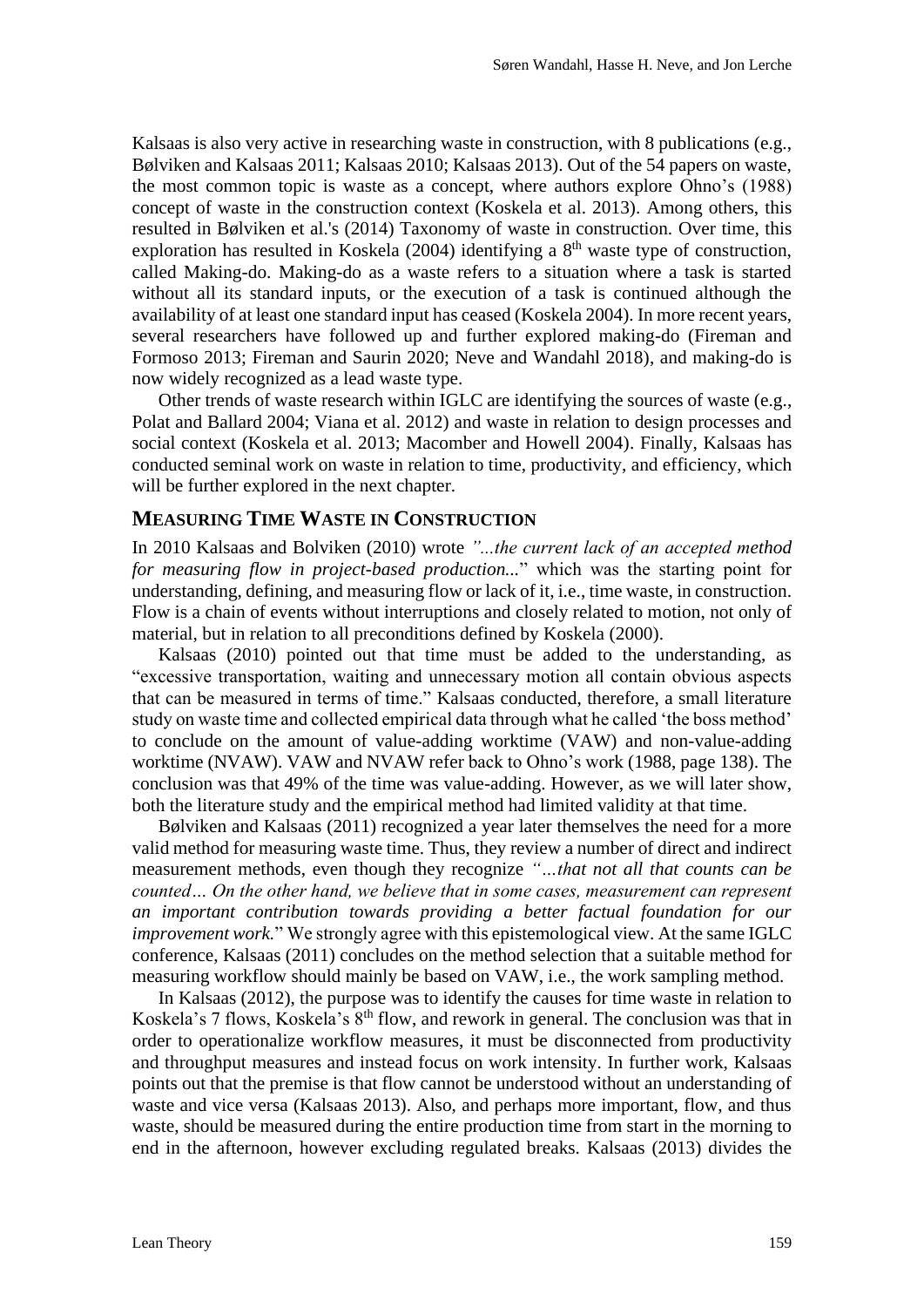Kalsaas is also very active in researching waste in construction, with 8 publications (e.g., Bølviken and Kalsaas 2011; Kalsaas 2010; Kalsaas 2013). Out of the 54 papers on waste, the most common topic is waste as a concept, where authors explore Ohno's (1988) concept of waste in the construction context (Koskela et al. 2013). Among others, this resulted in Bølviken et al.'s (2014) Taxonomy of waste in construction. Over time, this exploration has resulted in Koskela  $(2004)$  identifying a  $8<sup>th</sup>$  waste type of construction, called Making-do. Making-do as a waste refers to a situation where a task is started without all its standard inputs, or the execution of a task is continued although the availability of at least one standard input has ceased (Koskela 2004). In more recent years, several researchers have followed up and further explored making-do (Fireman and Formoso 2013; Fireman and Saurin 2020; Neve and Wandahl 2018), and making-do is now widely recognized as a lead waste type.

Other trends of waste research within IGLC are identifying the sources of waste (e.g., Polat and Ballard 2004; Viana et al. 2012) and waste in relation to design processes and social context (Koskela et al. 2013; Macomber and Howell 2004). Finally, Kalsaas has conducted seminal work on waste in relation to time, productivity, and efficiency, which will be further explored in the next chapter.

#### **MEASURING TIME WASTE IN CONSTRUCTION**

In 2010 Kalsaas and Bolviken (2010) wrote *"...the current lack of an accepted method for measuring flow in project-based production...*" which was the starting point for understanding, defining, and measuring flow or lack of it, i.e., time waste, in construction. Flow is a chain of events without interruptions and closely related to motion, not only of material, but in relation to all preconditions defined by Koskela (2000).

Kalsaas (2010) pointed out that time must be added to the understanding, as "excessive transportation, waiting and unnecessary motion all contain obvious aspects that can be measured in terms of time." Kalsaas conducted, therefore, a small literature study on waste time and collected empirical data through what he called 'the boss method' to conclude on the amount of value-adding worktime (VAW) and non-value-adding worktime (NVAW). VAW and NVAW refer back to Ohno's work (1988, page 138). The conclusion was that 49% of the time was value-adding. However, as we will later show, both the literature study and the empirical method had limited validity at that time.

Bølviken and Kalsaas (2011) recognized a year later themselves the need for a more valid method for measuring waste time. Thus, they review a number of direct and indirect measurement methods, even though they recognize *"…that not all that counts can be counted… On the other hand, we believe that in some cases, measurement can represent an important contribution towards providing a better factual foundation for our improvement work.*" We strongly agree with this epistemological view. At the same IGLC conference, Kalsaas (2011) concludes on the method selection that a suitable method for measuring workflow should mainly be based on VAW, i.e., the work sampling method.

In Kalsaas (2012), the purpose was to identify the causes for time waste in relation to Koskela's 7 flows, Koskela's  $8<sup>th</sup>$  flow, and rework in general. The conclusion was that in order to operationalize workflow measures, it must be disconnected from productivity and throughput measures and instead focus on work intensity. In further work, Kalsaas points out that the premise is that flow cannot be understood without an understanding of waste and vice versa (Kalsaas 2013). Also, and perhaps more important, flow, and thus waste, should be measured during the entire production time from start in the morning to end in the afternoon, however excluding regulated breaks. Kalsaas (2013) divides the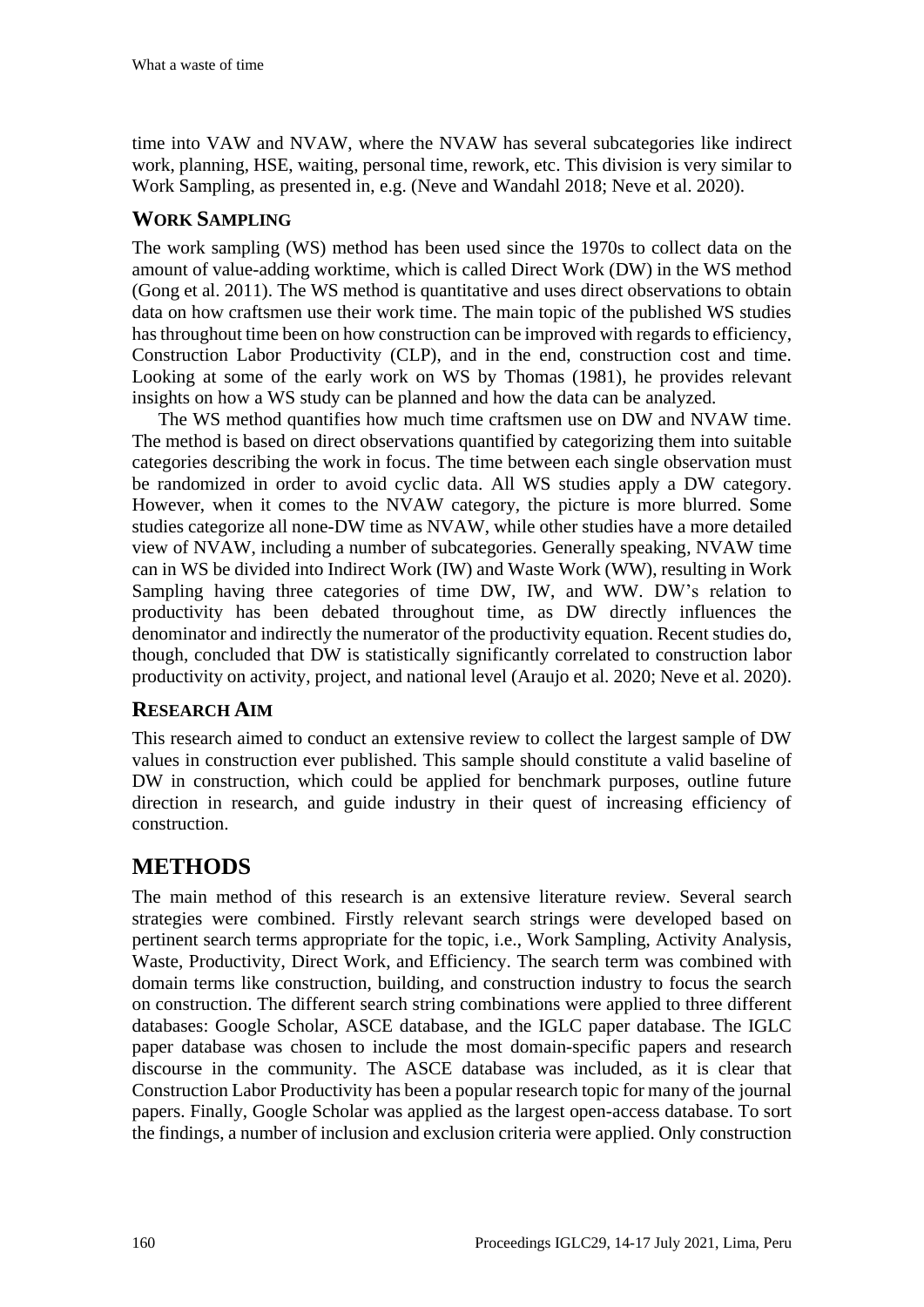time into VAW and NVAW, where the NVAW has several subcategories like indirect work, planning, HSE, waiting, personal time, rework, etc. This division is very similar to Work Sampling, as presented in, e.g. (Neve and Wandahl 2018; Neve et al. 2020).

#### **WORK SAMPLING**

The work sampling (WS) method has been used since the 1970s to collect data on the amount of value-adding worktime, which is called Direct Work (DW) in the WS method (Gong et al. 2011). The WS method is quantitative and uses direct observations to obtain data on how craftsmen use their work time. The main topic of the published WS studies has throughout time been on how construction can be improved with regards to efficiency, Construction Labor Productivity (CLP), and in the end, construction cost and time. Looking at some of the early work on WS by Thomas (1981), he provides relevant insights on how a WS study can be planned and how the data can be analyzed.

The WS method quantifies how much time craftsmen use on DW and NVAW time. The method is based on direct observations quantified by categorizing them into suitable categories describing the work in focus. The time between each single observation must be randomized in order to avoid cyclic data. All WS studies apply a DW category. However, when it comes to the NVAW category, the picture is more blurred. Some studies categorize all none-DW time as NVAW, while other studies have a more detailed view of NVAW, including a number of subcategories. Generally speaking, NVAW time can in WS be divided into Indirect Work (IW) and Waste Work (WW), resulting in Work Sampling having three categories of time DW, IW, and WW. DW's relation to productivity has been debated throughout time, as DW directly influences the denominator and indirectly the numerator of the productivity equation. Recent studies do, though, concluded that DW is statistically significantly correlated to construction labor productivity on activity, project, and national level (Araujo et al. 2020; Neve et al. 2020).

#### **RESEARCH AIM**

This research aimed to conduct an extensive review to collect the largest sample of DW values in construction ever published. This sample should constitute a valid baseline of DW in construction, which could be applied for benchmark purposes, outline future direction in research, and guide industry in their quest of increasing efficiency of construction.

# **METHODS**

The main method of this research is an extensive literature review. Several search strategies were combined. Firstly relevant search strings were developed based on pertinent search terms appropriate for the topic, i.e., Work Sampling, Activity Analysis, Waste, Productivity, Direct Work, and Efficiency. The search term was combined with domain terms like construction, building, and construction industry to focus the search on construction. The different search string combinations were applied to three different databases: Google Scholar, ASCE database, and the IGLC paper database. The IGLC paper database was chosen to include the most domain-specific papers and research discourse in the community. The ASCE database was included, as it is clear that Construction Labor Productivity has been a popular research topic for many of the journal papers. Finally, Google Scholar was applied as the largest open-access database. To sort the findings, a number of inclusion and exclusion criteria were applied. Only construction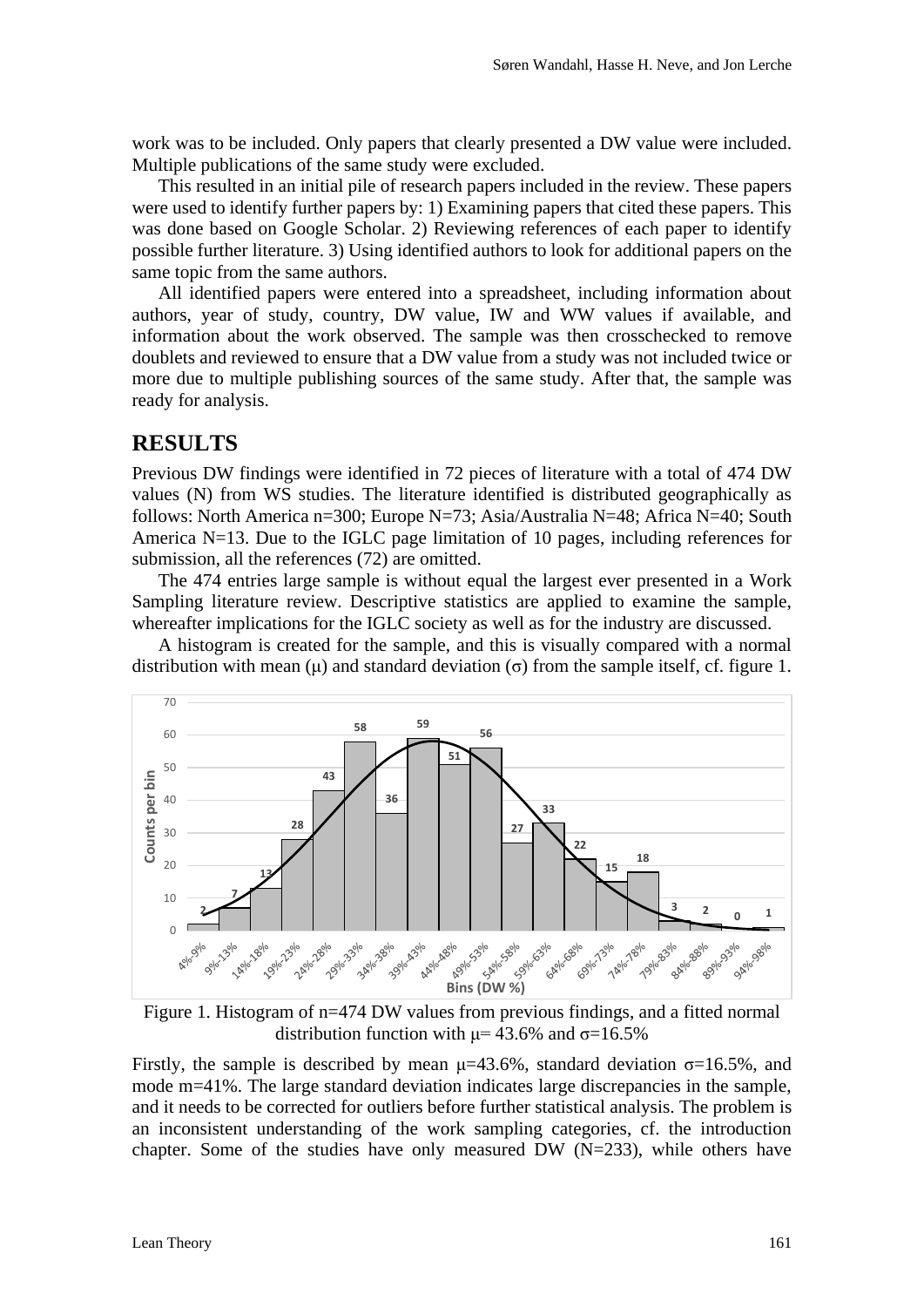work was to be included. Only papers that clearly presented a DW value were included. Multiple publications of the same study were excluded.

This resulted in an initial pile of research papers included in the review. These papers were used to identify further papers by: 1) Examining papers that cited these papers. This was done based on Google Scholar. 2) Reviewing references of each paper to identify possible further literature. 3) Using identified authors to look for additional papers on the same topic from the same authors.

All identified papers were entered into a spreadsheet, including information about authors, year of study, country, DW value, IW and WW values if available, and information about the work observed. The sample was then crosschecked to remove doublets and reviewed to ensure that a DW value from a study was not included twice or more due to multiple publishing sources of the same study. After that, the sample was ready for analysis.

#### **RESULTS**

Previous DW findings were identified in 72 pieces of literature with a total of 474 DW values (N) from WS studies. The literature identified is distributed geographically as follows: North America n=300; Europe N=73; Asia/Australia N=48; Africa N=40; South America N=13. Due to the IGLC page limitation of 10 pages, including references for submission, all the references (72) are omitted.

The 474 entries large sample is without equal the largest ever presented in a Work Sampling literature review. Descriptive statistics are applied to examine the sample, whereafter implications for the IGLC society as well as for the industry are discussed.

A histogram is created for the sample, and this is visually compared with a normal distribution with mean  $(\mu)$  and standard deviation  $(\sigma)$  from the sample itself, cf. figure 1.



Figure 1. Histogram of n=474 DW values from previous findings, and a fitted normal distribution function with  $\mu$  = 43.6% and  $\sigma$  = 16.5%

Firstly, the sample is described by mean  $\mu$ =43.6%, standard deviation  $\sigma$ =16.5%, and mode m=41%. The large standard deviation indicates large discrepancies in the sample, and it needs to be corrected for outliers before further statistical analysis. The problem is an inconsistent understanding of the work sampling categories, cf. the introduction chapter. Some of the studies have only measured DW (N=233), while others have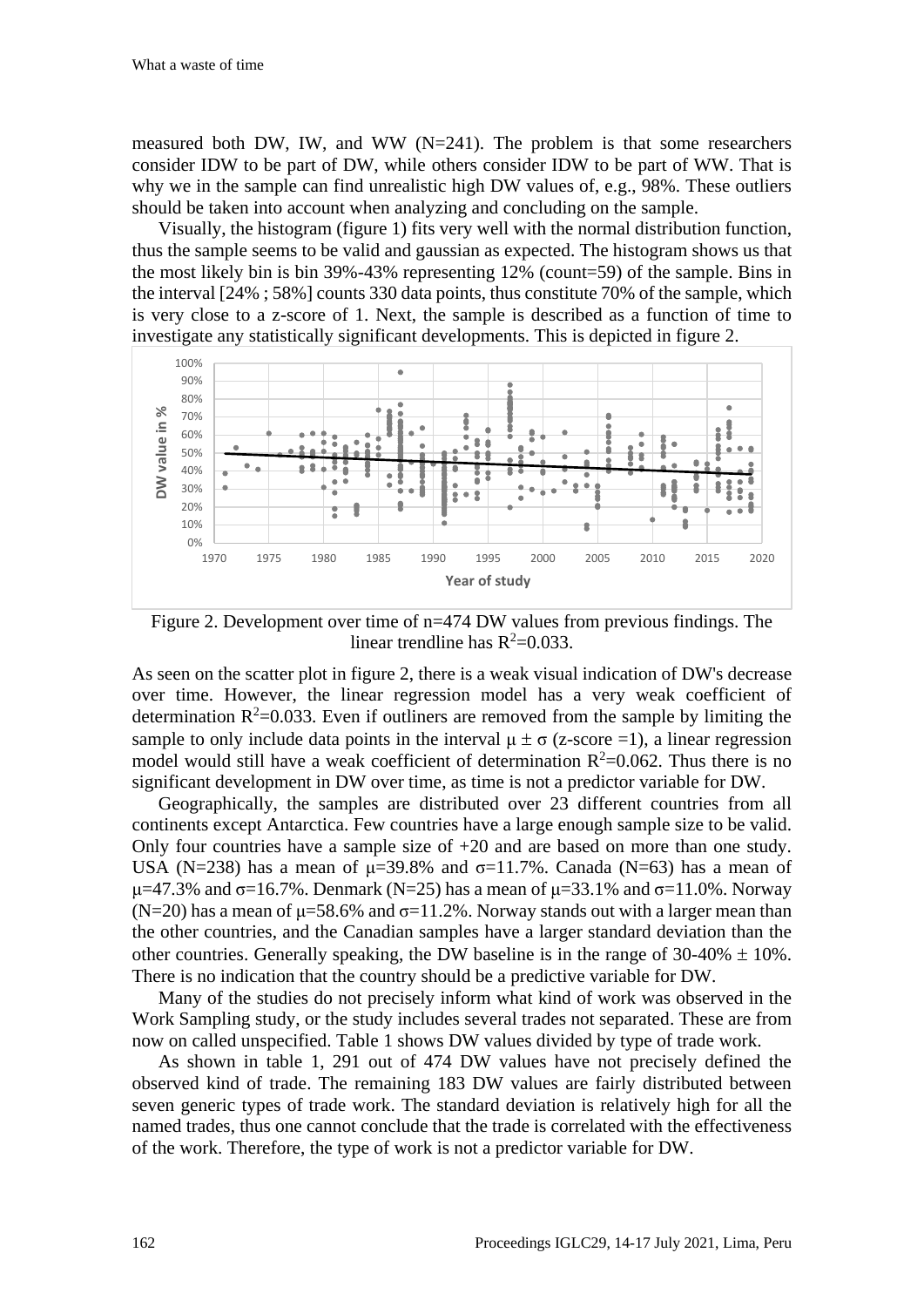measured both DW, IW, and WW ( $N=241$ ). The problem is that some researchers consider IDW to be part of DW, while others consider IDW to be part of WW. That is why we in the sample can find unrealistic high DW values of, e.g., 98%. These outliers should be taken into account when analyzing and concluding on the sample.

Visually, the histogram (figure 1) fits very well with the normal distribution function, thus the sample seems to be valid and gaussian as expected. The histogram shows us that the most likely bin is bin 39%-43% representing 12% (count=59) of the sample. Bins in the interval [24% ; 58%] counts 330 data points, thus constitute 70% of the sample, which is very close to a z-score of 1. Next, the sample is described as a function of time to investigate any statistically significant developments. This is depicted in figure 2.



Figure 2. Development over time of n=474 DW values from previous findings. The linear trendline has  $R^2=0.033$ .

As seen on the scatter plot in figure 2, there is a weak visual indication of DW's decrease over time. However, the linear regression model has a very weak coefficient of determination  $R^2$ =0.033. Even if outliners are removed from the sample by limiting the sample to only include data points in the interval  $\mu \pm \sigma$  (z-score =1), a linear regression model would still have a weak coefficient of determination  $R^2$ =0.062. Thus there is no significant development in DW over time, as time is not a predictor variable for DW.

Geographically, the samples are distributed over 23 different countries from all continents except Antarctica. Few countries have a large enough sample size to be valid. Only four countries have a sample size of +20 and are based on more than one study. USA (N=238) has a mean of  $\mu$ =39.8% and  $\sigma$ =11.7%. Canada (N=63) has a mean of  $μ=47.3%$  and σ=16.7%. Denmark (N=25) has a mean of  $μ=33.1%$  and σ=11.0%. Norway (N=20) has a mean of  $\mu$ =58.6% and  $\sigma$ =11.2%. Norway stands out with a larger mean than the other countries, and the Canadian samples have a larger standard deviation than the other countries. Generally speaking, the DW baseline is in the range of  $30\n-40\% \pm 10\%$ . There is no indication that the country should be a predictive variable for DW.

Many of the studies do not precisely inform what kind of work was observed in the Work Sampling study, or the study includes several trades not separated. These are from now on called unspecified. Table 1 shows DW values divided by type of trade work.

As shown in table 1, 291 out of 474 DW values have not precisely defined the observed kind of trade. The remaining 183 DW values are fairly distributed between seven generic types of trade work. The standard deviation is relatively high for all the named trades, thus one cannot conclude that the trade is correlated with the effectiveness of the work. Therefore, the type of work is not a predictor variable for DW.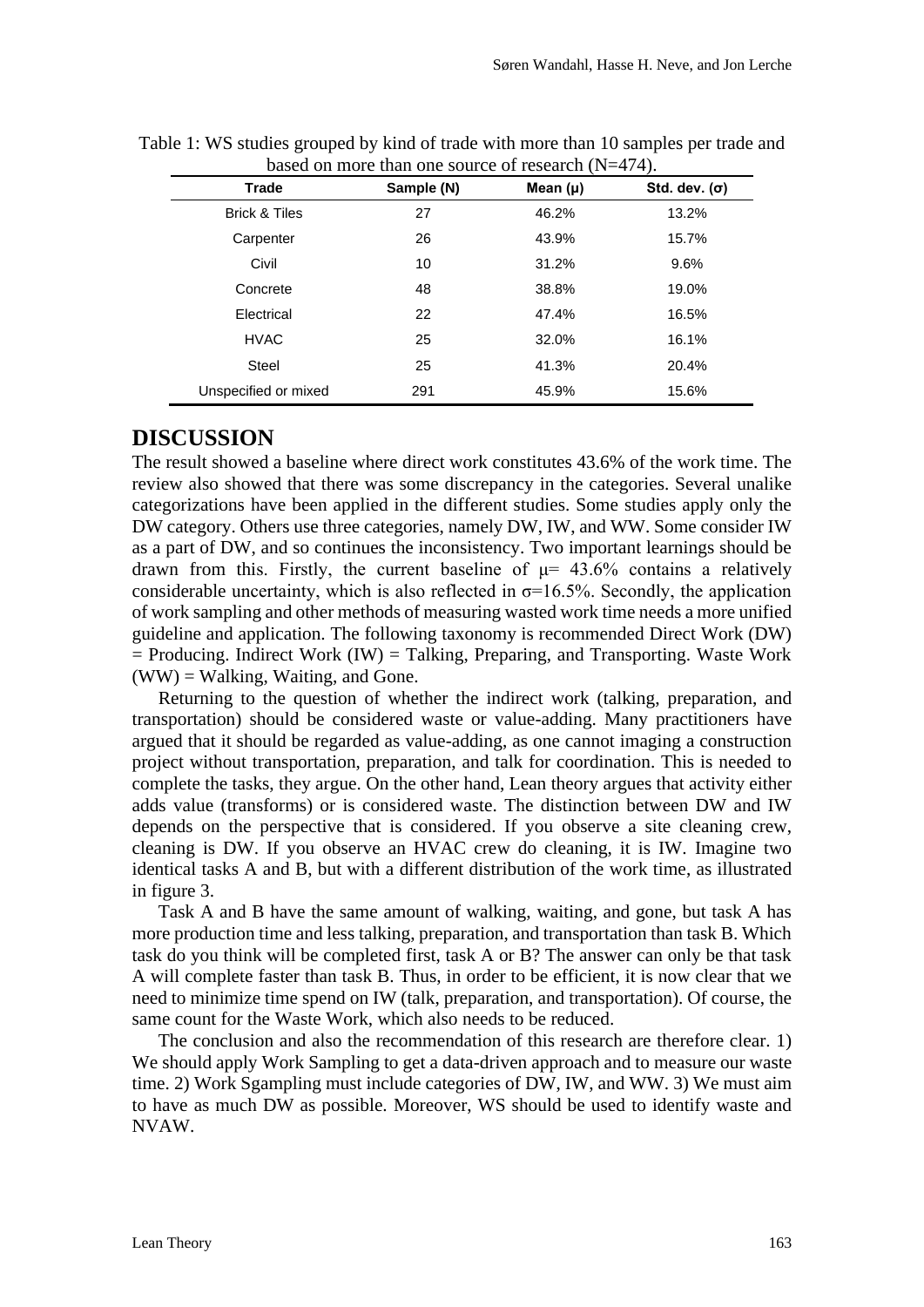| $\alpha$ on those than one source of research $(11 - 77)$ . |            |              |                      |
|-------------------------------------------------------------|------------|--------------|----------------------|
| Trade                                                       | Sample (N) | Mean $(\mu)$ | Std. dev. $(\sigma)$ |
| <b>Brick &amp; Tiles</b>                                    | 27         | 46.2%        | 13.2%                |
| Carpenter                                                   | 26         | 43.9%        | 15.7%                |
| Civil                                                       | 10         | 31.2%        | $9.6\%$              |
| Concrete                                                    | 48         | 38.8%        | 19.0%                |
| Electrical                                                  | 22         | 47.4%        | 16.5%                |
| <b>HVAC</b>                                                 | 25         | 32.0%        | 16.1%                |
| <b>Steel</b>                                                | 25         | 41.3%        | 20.4%                |
| Unspecified or mixed                                        | 291        | 45.9%        | 15.6%                |
|                                                             |            |              |                      |

Table 1: WS studies grouped by kind of trade with more than 10 samples per trade and based on more than one source of research  $(N-474)$ .

# **DISCUSSION**

The result showed a baseline where direct work constitutes 43.6% of the work time. The review also showed that there was some discrepancy in the categories. Several unalike categorizations have been applied in the different studies. Some studies apply only the DW category. Others use three categories, namely DW, IW, and WW. Some consider IW as a part of DW, and so continues the inconsistency. Two important learnings should be drawn from this. Firstly, the current baseline of  $\mu$  = 43.6% contains a relatively considerable uncertainty, which is also reflected in  $\sigma$ =16.5%. Secondly, the application of work sampling and other methods of measuring wasted work time needs a more unified guideline and application. The following taxonomy is recommended Direct Work (DW)  $=$  Producing. Indirect Work (IW)  $=$  Talking, Preparing, and Transporting. Waste Work  $(WW) =$  Walking, Waiting, and Gone.

Returning to the question of whether the indirect work (talking, preparation, and transportation) should be considered waste or value-adding. Many practitioners have argued that it should be regarded as value-adding, as one cannot imaging a construction project without transportation, preparation, and talk for coordination. This is needed to complete the tasks, they argue. On the other hand, Lean theory argues that activity either adds value (transforms) or is considered waste. The distinction between DW and IW depends on the perspective that is considered. If you observe a site cleaning crew, cleaning is DW. If you observe an HVAC crew do cleaning, it is IW. Imagine two identical tasks A and B, but with a different distribution of the work time, as illustrated in figure 3.

Task A and B have the same amount of walking, waiting, and gone, but task A has more production time and less talking, preparation, and transportation than task B. Which task do you think will be completed first, task A or B? The answer can only be that task A will complete faster than task B. Thus, in order to be efficient, it is now clear that we need to minimize time spend on IW (talk, preparation, and transportation). Of course, the same count for the Waste Work, which also needs to be reduced.

The conclusion and also the recommendation of this research are therefore clear. 1) We should apply Work Sampling to get a data-driven approach and to measure our waste time. 2) Work Sgampling must include categories of DW, IW, and WW, 3) We must aim to have as much DW as possible. Moreover, WS should be used to identify waste and NVAW.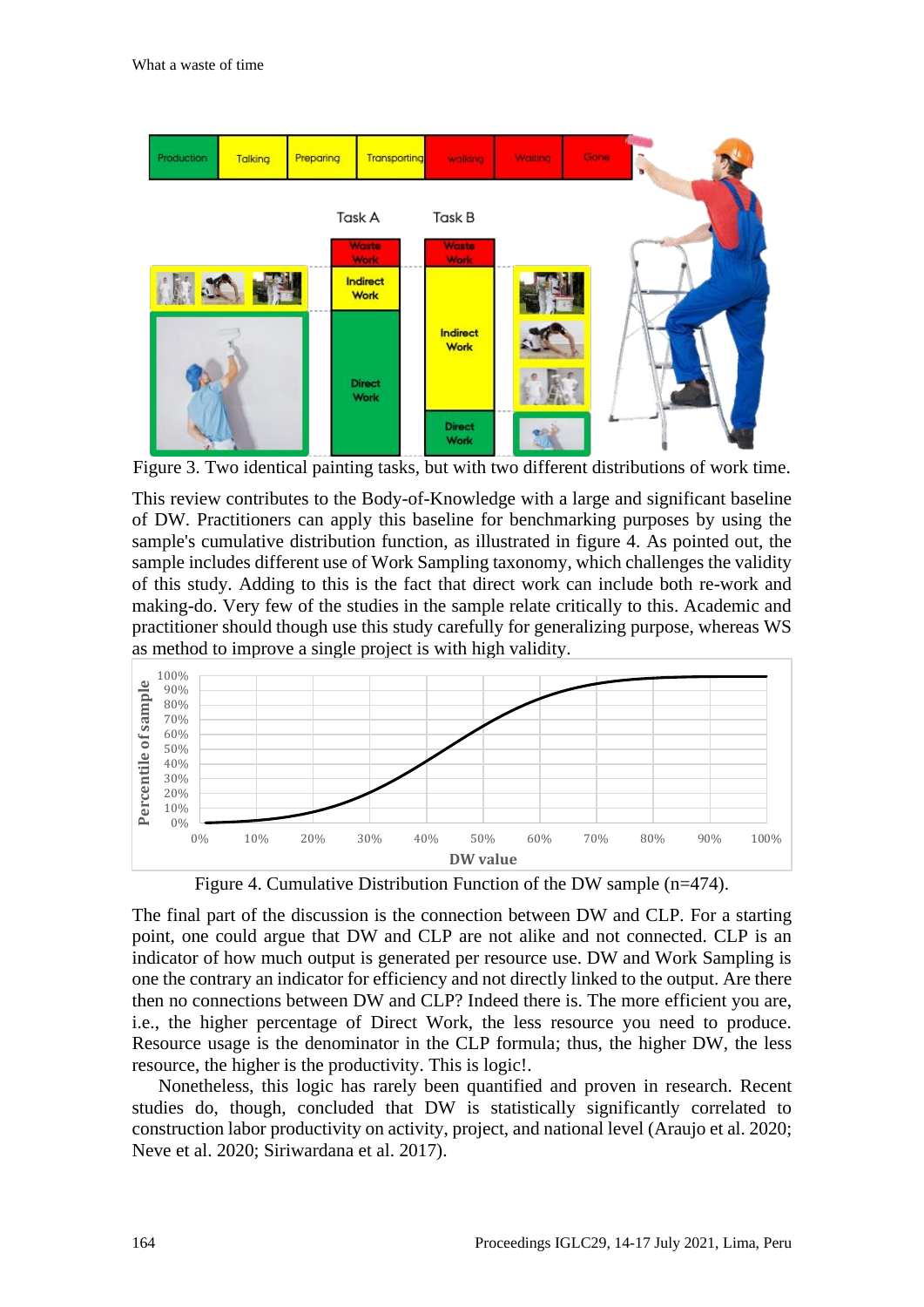

Figure 3. Two identical painting tasks, but with two different distributions of work time.

This review contributes to the Body-of-Knowledge with a large and significant baseline of DW. Practitioners can apply this baseline for benchmarking purposes by using the sample's cumulative distribution function, as illustrated in figure 4. As pointed out, the sample includes different use of Work Sampling taxonomy, which challenges the validity of this study. Adding to this is the fact that direct work can include both re-work and making-do. Very few of the studies in the sample relate critically to this. Academic and practitioner should though use this study carefully for generalizing purpose, whereas WS as method to improve a single project is with high validity.



Figure 4. Cumulative Distribution Function of the DW sample (n=474).

The final part of the discussion is the connection between DW and CLP. For a starting point, one could argue that DW and CLP are not alike and not connected. CLP is an indicator of how much output is generated per resource use. DW and Work Sampling is one the contrary an indicator for efficiency and not directly linked to the output. Are there then no connections between DW and CLP? Indeed there is. The more efficient you are, i.e., the higher percentage of Direct Work, the less resource you need to produce. Resource usage is the denominator in the CLP formula; thus, the higher DW, the less resource, the higher is the productivity. This is logic!.

Nonetheless, this logic has rarely been quantified and proven in research. Recent studies do, though, concluded that DW is statistically significantly correlated to construction labor productivity on activity, project, and national level (Araujo et al. 2020; Neve et al. 2020; Siriwardana et al. 2017).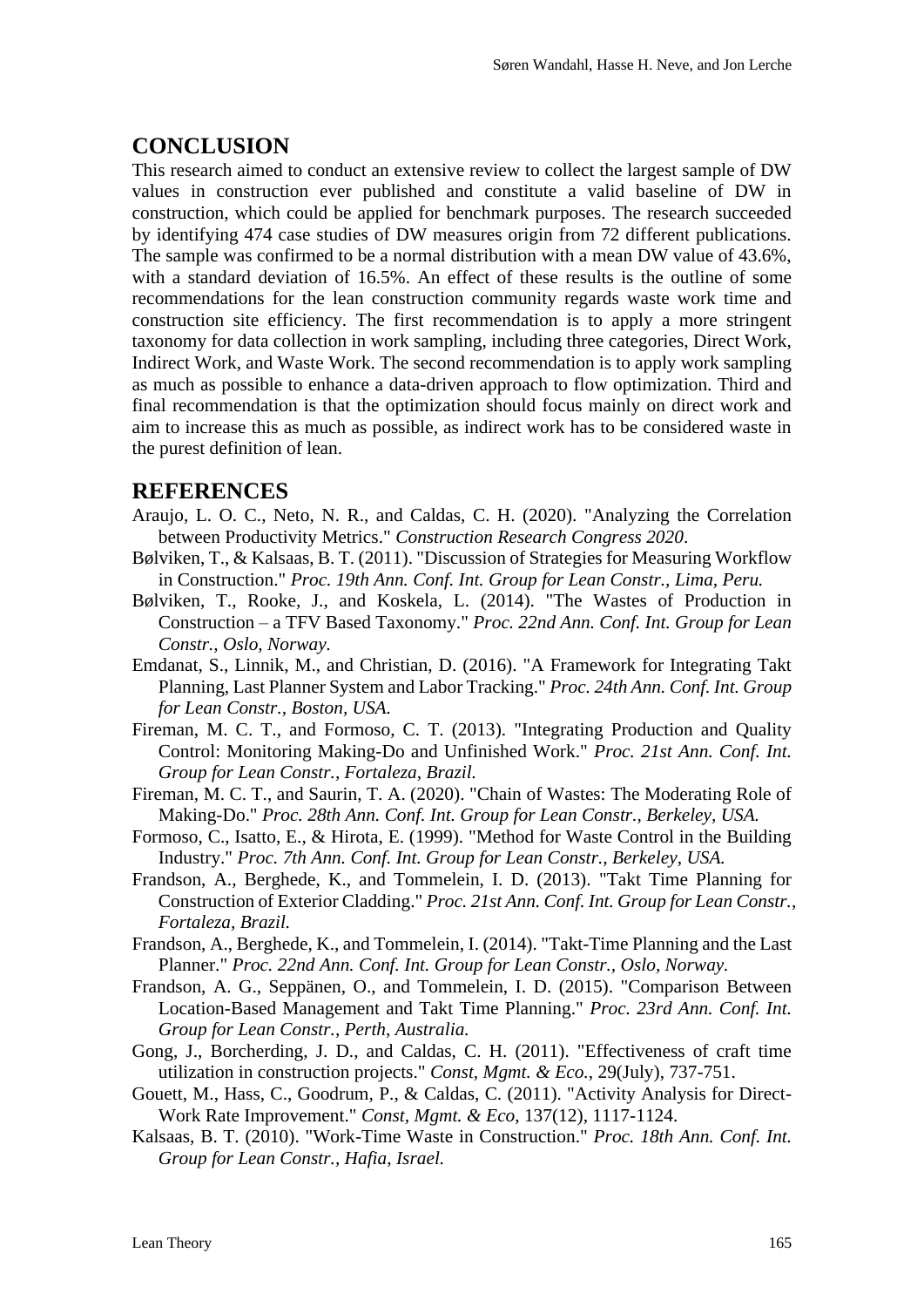#### **CONCLUSION**

This research aimed to conduct an extensive review to collect the largest sample of DW values in construction ever published and constitute a valid baseline of DW in construction, which could be applied for benchmark purposes. The research succeeded by identifying 474 case studies of DW measures origin from 72 different publications. The sample was confirmed to be a normal distribution with a mean DW value of 43.6%, with a standard deviation of 16.5%. An effect of these results is the outline of some recommendations for the lean construction community regards waste work time and construction site efficiency. The first recommendation is to apply a more stringent taxonomy for data collection in work sampling, including three categories, Direct Work, Indirect Work, and Waste Work. The second recommendation is to apply work sampling as much as possible to enhance a data-driven approach to flow optimization. Third and final recommendation is that the optimization should focus mainly on direct work and aim to increase this as much as possible, as indirect work has to be considered waste in the purest definition of lean.

#### **REFERENCES**

- Araujo, L. O. C., Neto, N. R., and Caldas, C. H. (2020). "Analyzing the Correlation between Productivity Metrics." *Construction Research Congress 2020*.
- Bølviken, T., & Kalsaas, B. T. (2011). "Discussion of Strategies for Measuring Workflow in Construction." *Proc. 19th Ann. Conf. Int. Group for Lean Constr., Lima, Peru.*
- Bølviken, T., Rooke, J., and Koskela, L. (2014). "The Wastes of Production in Construction – a TFV Based Taxonomy." *Proc. 22nd Ann. Conf. Int. Group for Lean Constr., Oslo, Norway.*
- Emdanat, S., Linnik, M., and Christian, D. (2016). "A Framework for Integrating Takt Planning, Last Planner System and Labor Tracking." *Proc. 24th Ann. Conf. Int. Group for Lean Constr., Boston, USA.*
- Fireman, M. C. T., and Formoso, C. T. (2013). "Integrating Production and Quality Control: Monitoring Making-Do and Unfinished Work." *Proc. 21st Ann. Conf. Int. Group for Lean Constr., Fortaleza, Brazil.*
- Fireman, M. C. T., and Saurin, T. A. (2020). "Chain of Wastes: The Moderating Role of Making-Do." *Proc. 28th Ann. Conf. Int. Group for Lean Constr., Berkeley, USA.*
- Formoso, C., Isatto, E., & Hirota, E. (1999). "Method for Waste Control in the Building Industry." *Proc. 7th Ann. Conf. Int. Group for Lean Constr., Berkeley, USA.*
- Frandson, A., Berghede, K., and Tommelein, I. D. (2013). "Takt Time Planning for Construction of Exterior Cladding." *Proc. 21st Ann. Conf. Int. Group for Lean Constr., Fortaleza, Brazil.*
- Frandson, A., Berghede, K., and Tommelein, I. (2014). "Takt-Time Planning and the Last Planner." *Proc. 22nd Ann. Conf. Int. Group for Lean Constr., Oslo, Norway.*
- Frandson, A. G., Seppänen, O., and Tommelein, I. D. (2015). "Comparison Between Location-Based Management and Takt Time Planning." *Proc. 23rd Ann. Conf. Int. Group for Lean Constr., Perth, Australia.*
- Gong, J., Borcherding, J. D., and Caldas, C. H. (2011). "Effectiveness of craft time utilization in construction projects." *Const, Mgmt. & Eco.*, 29(July), 737-751.
- Gouett, M., Hass, C., Goodrum, P., & Caldas, C. (2011). "Activity Analysis for Direct-Work Rate Improvement." *Const, Mgmt. & Eco*, 137(12), 1117-1124.
- Kalsaas, B. T. (2010). "Work-Time Waste in Construction." *Proc. 18th Ann. Conf. Int. Group for Lean Constr., Hafia, Israel.*